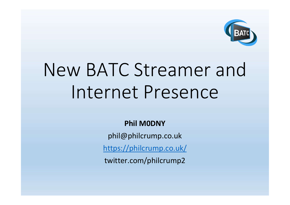

# New BATC Streamer and Internet Presence

Phil M0DNY

phil@philcrump.co.uk

https://philcrump.co.uk/

twitter.com/philcrump2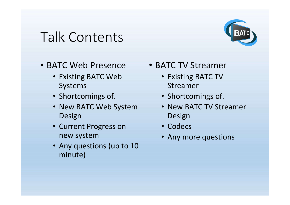#### Talk Contents



- BATC Web Presence
	- Existing BATC Web Systems
	- Shortcomings of.
	- New BATC Web System Design
	- Current Progress on new system
	- Any questions (up to 10 minute)
- BATC TV Streamer
	- Existing BATC TV Streamer
	- Shortcomings of.
	- New BATC TV Streamer Design
	- Codecs
	- Any more questions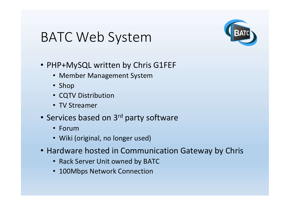#### BATC Web System



- PHP+MySQL written by Chris G1FEF
	- Member Management System
	- Shop
	- CQTV Distribution
	- TV Streamer
- Services based on 3<sup>rd</sup> party software
	- Forum
	- Wiki (original, no longer used)
- Hardware hosted in Communication Gateway by Chris
	- Rack Server Unit owned by BATC
	- 100Mbps Network Connection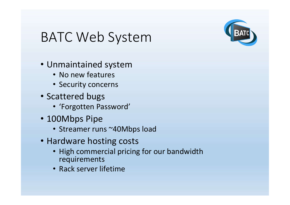### BATC Web System



- Unmaintained system
	- No new features
	- Security concerns
- Scattered bugs
	- 'Forgotten Password'
- 100Mbps Pipe
	- Streamer runs ~40Mbps load
- Hardware hosting costs
	- High commercial pricing for our bandwidth requirements
	- Rack server lifetime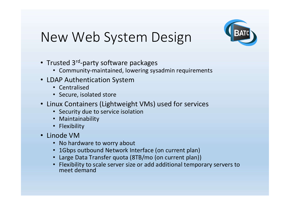

## New Web System Design

- Trusted 3<sup>rd</sup>-party software packages
	- Community-maintained, lowering sysadmin requirements
- LDAP Authentication System
	- Centralised
	- Secure, isolated store
- Linux Containers (Lightweight VMs) used for services
	- Security due to service isolation
	- Maintainability
	- Flexibility
- Linode VM
	- No hardware to worry about
	- 1Gbps outbound Network Interface (on current plan)
	- Large Data Transfer quota (8TB/mo (on current plan))
	- Flexibility to scale server size or add additional temporary servers to meet demand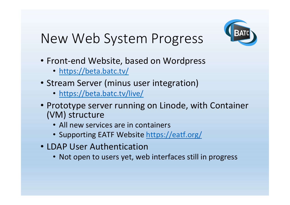

## New Web System Progress

- Front-end Website, based on Wordpress
	- https://beta.batc.tv/
- Stream Server (minus user integration)
	- https://beta.batc.tv/live/
- Prototype server running on Linode, with Container (VM) structure
	- All new services are in containers
	- Supporting EATF Website https://eatf.org/
- LDAP User Authentication
	- Not open to users yet, web interfaces still in progress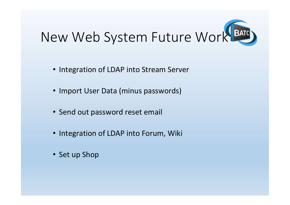

- Integration of LDAP into Stream Server
- Import User Data (minus passwords)
- Send out password reset email
- Integration of LDAP into Forum, Wiki
- Set up Shop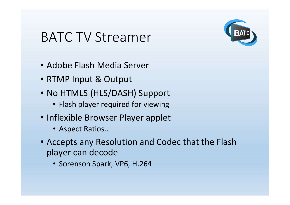#### BATC TV Streamer



- Adobe Flash Media Server
- RTMP Input & Output
- No HTML5 (HLS/DASH) Support
	- Flash player required for viewing
- Inflexible Browser Player applet
	- Aspect Ratios..
- Accepts any Resolution and Codec that the Flash player can decode
	- Sorenson Spark, VP6, H.264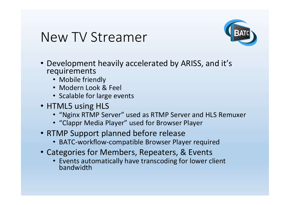#### New TV Streamer



- Development heavily accelerated by ARISS, and it's requirements
	- Mobile friendly
	- Modern Look & Feel
	- Scalable for large events
- HTML5 using HLS
	- "Nginx RTMP Server" used as RTMP Server and HLS Remuxer
	- "Clappr Media Player" used for Browser Player
- RTMP Support planned before release
	- BATC-workflow-compatible Browser Player required
- Categories for Members, Repeaters, & Events
	- Events automatically have transcoding for lower client bandwidth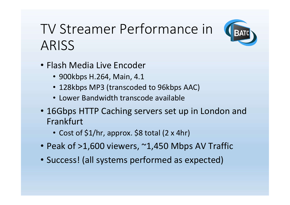## TV Streamer Performance in ARISS

- Flash Media Live Encoder
	- 900kbps H.264, Main, 4.1
	- 128kbps MP3 (transcoded to 96kbps AAC)
	- Lower Bandwidth transcode available
- 16Gbps HTTP Caching servers set up in London and Frankfurt
	- Cost of \$1/hr, approx. \$8 total (2 x 4hr)
- Peak of >1,600 viewers, ~1,450 Mbps AV Traffic
- Success! (all systems performed as expected)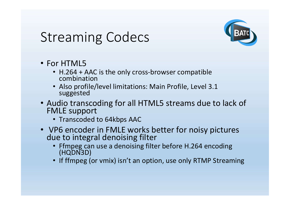#### Streaming Codecs



- For HTML5
	- H.264 + AAC is the only cross-browser compatible combination
	- Also profile/level limitations: Main Profile, Level 3.1 suggested
- Audio transcoding for all HTML5 streams due to lack of FMLE support
	- Transcoded to 64kbps AAC
- VP6 encoder in FMLE works better for noisy pictures due to integral denoising filter
	- Ffmpeg can use a denoising filter before H.264 encoding (HQDN3D)
	- If ffmpeg (or vmix) isn't an option, use only RTMP Streaming